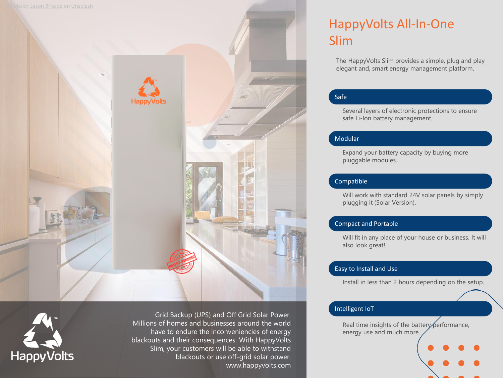



Grid Backup (UPS) and Off Grid Solar Power. Millions of homes and businesses around the world have to endure the inconveniencies of energy blackouts and their consequences. With HappyVolts Slim, your customers will be able to withstand blackouts or use off-grid solar power. www.happyvolts.com

# HappyVolts All-In-One Slim

The HappyVolts Slim provides a simple, plug and play elegant and, smart energy management platform.

### Safe

Several layers of electronic protections to ensure safe Li-Ion battery management.

#### Modular

Expand your battery capacity by buying more pluggable modules.

### Compatible

Will work with standard 24V solar panels by simply plugging it (Solar Version).

### Compact and Portable

Will fit in any place of your house or business. It will also look great!

#### Easy to Install and Use

Install in less than 2 hours depending on the setup.

## Intelligent IoT

Real time insights of the battery performance, energy use and much more.